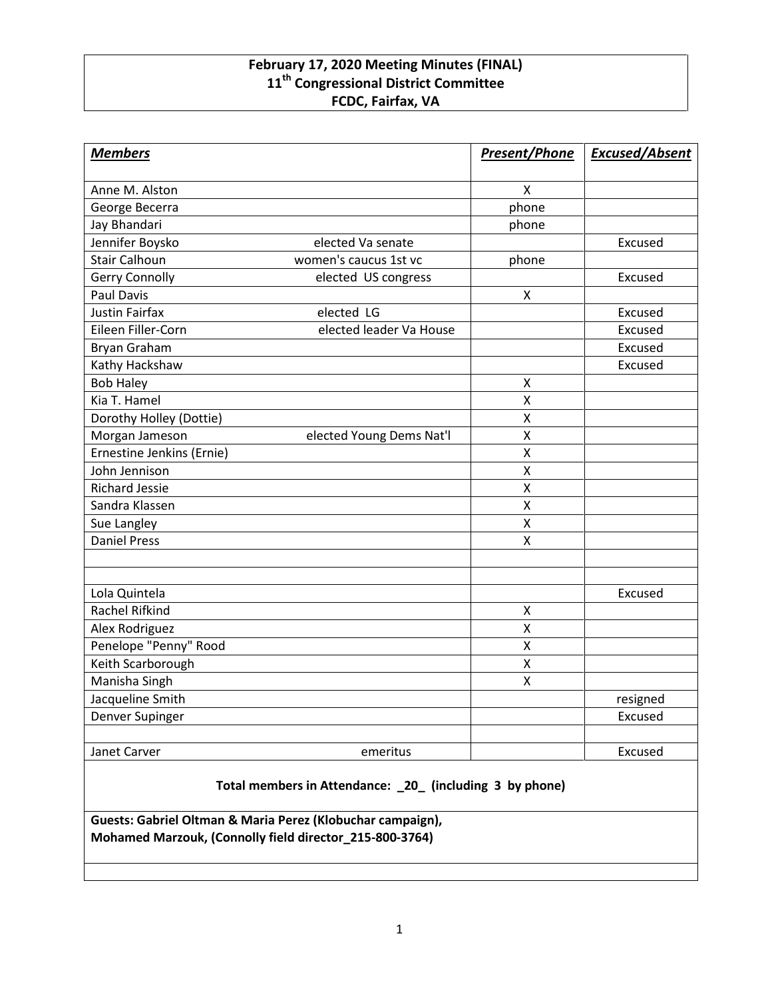## **February 17, 2020 Meeting Minutes (FINAL) 11th Congressional District Committee FCDC, Fairfax, VA**

| <b>Members</b>            |                          | <b>Present/Phone</b> | <b>Excused/Absent</b> |
|---------------------------|--------------------------|----------------------|-----------------------|
| Anne M. Alston            |                          | X                    |                       |
| George Becerra            |                          | phone                |                       |
| Jay Bhandari              |                          | phone                |                       |
| Jennifer Boysko           | elected Va senate        |                      | Excused               |
| <b>Stair Calhoun</b>      | women's caucus 1st vc    | phone                |                       |
| <b>Gerry Connolly</b>     | elected US congress      |                      | Excused               |
| <b>Paul Davis</b>         |                          | X                    |                       |
| <b>Justin Fairfax</b>     | elected LG               |                      | Excused               |
| Eileen Filler-Corn        | elected leader Va House  |                      | Excused               |
| <b>Bryan Graham</b>       |                          |                      | Excused               |
| Kathy Hackshaw            |                          |                      | Excused               |
| <b>Bob Haley</b>          |                          | X                    |                       |
| Kia T. Hamel              |                          | X                    |                       |
| Dorothy Holley (Dottie)   |                          | X                    |                       |
| Morgan Jameson            | elected Young Dems Nat'l | X                    |                       |
| Ernestine Jenkins (Ernie) |                          | X                    |                       |
| John Jennison             |                          | $\pmb{\mathsf{X}}$   |                       |
| <b>Richard Jessie</b>     |                          | X                    |                       |
| Sandra Klassen            |                          | X                    |                       |
| Sue Langley               |                          | X                    |                       |
| <b>Daniel Press</b>       |                          | X                    |                       |
|                           |                          |                      |                       |
|                           |                          |                      |                       |
| Lola Quintela             |                          |                      | Excused               |
| <b>Rachel Rifkind</b>     |                          | X                    |                       |
| Alex Rodriguez            |                          | $\pmb{\mathsf{X}}$   |                       |
| Penelope "Penny" Rood     |                          | X                    |                       |
| Keith Scarborough         |                          | $\mathsf{\chi}$      |                       |
| Manisha Singh             |                          | X                    |                       |
| Jacqueline Smith          |                          |                      | resigned              |
| Denver Supinger           |                          |                      | Excused               |
|                           |                          |                      |                       |
| Janet Carver              | emeritus                 |                      | Excused               |

**Total members in Attendance: \_20\_ (including 3 by phone)**

**Guests: Gabriel Oltman & Maria Perez (Klobuchar campaign), Mohamed Marzouk, (Connolly field director\_215-800-3764)**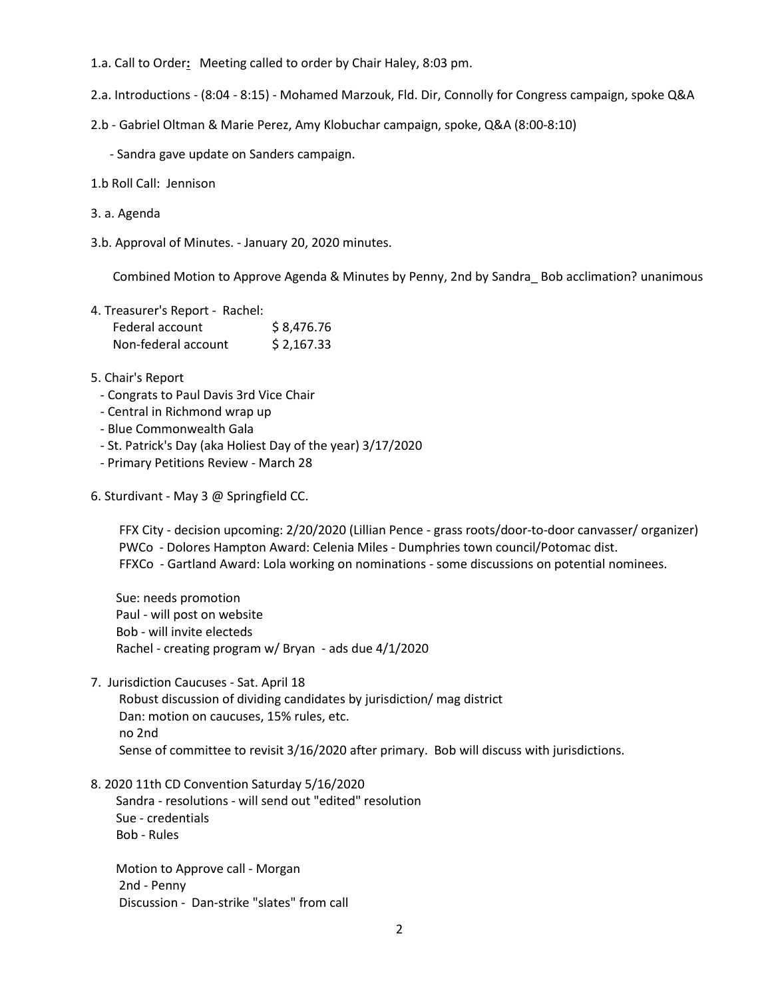- 1.a. Call to Order**:** Meeting called to order by Chair Haley, 8:03 pm.
- 2.a. Introductions (8:04 8:15) Mohamed Marzouk, Fld. Dir, Connolly for Congress campaign, spoke Q&A
- 2.b Gabriel Oltman & Marie Perez, Amy Klobuchar campaign, spoke, Q&A (8:00-8:10)
	- Sandra gave update on Sanders campaign.
- 1.b Roll Call: Jennison
- 3. a. Agenda
- 3.b. Approval of Minutes. January 20, 2020 minutes.

Combined Motion to Approve Agenda & Minutes by Penny, 2nd by Sandra\_ Bob acclimation? unanimous

| 4. Treasurer's Report - Rachel: |            |
|---------------------------------|------------|
| Federal account                 | \$8,476.76 |
| Non-federal account             | \$2,167.33 |

- 5. Chair's Report
	- Congrats to Paul Davis 3rd Vice Chair
	- Central in Richmond wrap up
- Blue Commonwealth Gala
- St. Patrick's Day (aka Holiest Day of the year) 3/17/2020
- Primary Petitions Review March 28
- 6. Sturdivant May 3 @ Springfield CC.

FFX City - decision upcoming: 2/20/2020 (Lillian Pence - grass roots/door-to-door canvasser/ organizer) PWCo - Dolores Hampton Award: Celenia Miles - Dumphries town council/Potomac dist. FFXCo - Gartland Award: Lola working on nominations - some discussions on potential nominees.

Sue: needs promotion Paul - will post on website Bob - will invite electeds Rachel - creating program w/ Bryan - ads due 4/1/2020

7. Jurisdiction Caucuses - Sat. April 18

Robust discussion of dividing candidates by jurisdiction/ mag district Dan: motion on caucuses, 15% rules, etc. no 2nd Sense of committee to revisit 3/16/2020 after primary. Bob will discuss with jurisdictions.

8. 2020 11th CD Convention Saturday 5/16/2020

Sandra - resolutions - will send out "edited" resolution Sue - credentials Bob - Rules

Motion to Approve call - Morgan 2nd - Penny Discussion - Dan-strike "slates" from call